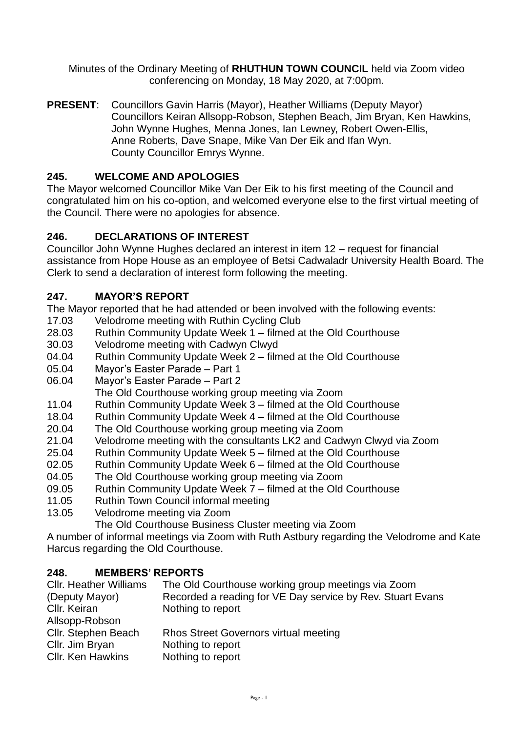Minutes of the Ordinary Meeting of **RHUTHUN TOWN COUNCIL** held via Zoom video conferencing on Monday, 18 May 2020, at 7:00pm.

**PRESENT**: Councillors Gavin Harris (Mayor), Heather Williams (Deputy Mayor) Councillors Keiran Allsopp-Robson, Stephen Beach, Jim Bryan, Ken Hawkins, John Wynne Hughes, Menna Jones, Ian Lewney, Robert Owen-Ellis, Anne Roberts, Dave Snape, Mike Van Der Eik and Ifan Wyn. County Councillor Emrys Wynne.

# **245. WELCOME AND APOLOGIES**

The Mayor welcomed Councillor Mike Van Der Eik to his first meeting of the Council and congratulated him on his co-option, and welcomed everyone else to the first virtual meeting of the Council. There were no apologies for absence.

## **246. DECLARATIONS OF INTEREST**

Councillor John Wynne Hughes declared an interest in item 12 – request for financial assistance from Hope House as an employee of Betsi Cadwaladr University Health Board. The Clerk to send a declaration of interest form following the meeting.

## **247. MAYOR'S REPORT**

The Mayor reported that he had attended or been involved with the following events:

- 17.03 Velodrome meeting with Ruthin Cycling Club
- 28.03 Ruthin Community Update Week 1 filmed at the Old Courthouse
- 30.03 Velodrome meeting with Cadwyn Clwyd
- 04.04 Ruthin Community Update Week 2 filmed at the Old Courthouse
- 05.04 Mayor's Easter Parade Part 1
- 06.04 Mayor's Easter Parade Part 2
- The Old Courthouse working group meeting via Zoom
- 11.04 Ruthin Community Update Week 3 filmed at the Old Courthouse
- 18.04 Ruthin Community Update Week 4 filmed at the Old Courthouse
- 20.04 The Old Courthouse working group meeting via Zoom
- 21.04 Velodrome meeting with the consultants LK2 and Cadwyn Clwyd via Zoom
- 25.04 Ruthin Community Update Week 5 filmed at the Old Courthouse
- 02.05 Ruthin Community Update Week 6 filmed at the Old Courthouse
- 04.05 The Old Courthouse working group meeting via Zoom
- 09.05 Ruthin Community Update Week 7 filmed at the Old Courthouse
- 11.05 Ruthin Town Council informal meeting
- 13.05 Velodrome meeting via Zoom

The Old Courthouse Business Cluster meeting via Zoom

A number of informal meetings via Zoom with Ruth Astbury regarding the Velodrome and Kate Harcus regarding the Old Courthouse.

# **248. MEMBERS' REPORTS**

| <b>CIIr. Heather Williams</b> | The Old Courthouse working group meetings via Zoom         |
|-------------------------------|------------------------------------------------------------|
| (Deputy Mayor)                | Recorded a reading for VE Day service by Rev. Stuart Evans |
| Cllr. Keiran                  | Nothing to report                                          |
| Allsopp-Robson                |                                                            |
| Cllr. Stephen Beach           | Rhos Street Governors virtual meeting                      |
| Cllr. Jim Bryan               | Nothing to report                                          |
| <b>CIIr. Ken Hawkins</b>      | Nothing to report                                          |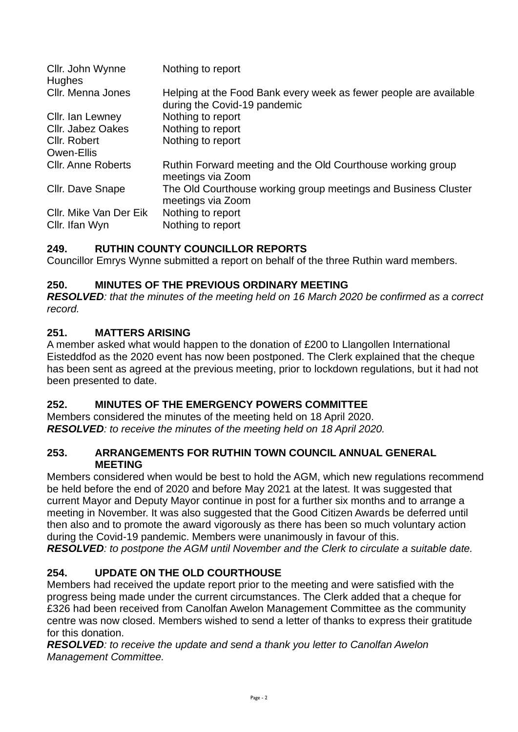| Cllr. John Wynne<br><b>Hughes</b> | Nothing to report                                                                                 |
|-----------------------------------|---------------------------------------------------------------------------------------------------|
| Cllr. Menna Jones                 | Helping at the Food Bank every week as fewer people are available<br>during the Covid-19 pandemic |
| Cllr. Ian Lewney                  | Nothing to report                                                                                 |
| Cllr. Jabez Oakes                 | Nothing to report                                                                                 |
| Cllr. Robert                      | Nothing to report                                                                                 |
| Owen-Ellis                        |                                                                                                   |
| <b>CIIr. Anne Roberts</b>         | Ruthin Forward meeting and the Old Courthouse working group<br>meetings via Zoom                  |
| Cllr. Dave Snape                  | The Old Courthouse working group meetings and Business Cluster<br>meetings via Zoom               |
| Cllr. Mike Van Der Eik            | Nothing to report                                                                                 |
| Cllr. Ifan Wyn                    | Nothing to report                                                                                 |

# **249. RUTHIN COUNTY COUNCILLOR REPORTS**

Councillor Emrys Wynne submitted a report on behalf of the three Ruthin ward members.

## **250. MINUTES OF THE PREVIOUS ORDINARY MEETING**

*RESOLVED: that the minutes of the meeting held on 16 March 2020 be confirmed as a correct record.* 

## **251. MATTERS ARISING**

A member asked what would happen to the donation of £200 to Llangollen International Eisteddfod as the 2020 event has now been postponed. The Clerk explained that the cheque has been sent as agreed at the previous meeting, prior to lockdown regulations, but it had not been presented to date.

## **252. MINUTES OF THE EMERGENCY POWERS COMMITTEE**

Members considered the minutes of the meeting held on 18 April 2020. *RESOLVED: to receive the minutes of the meeting held on 18 April 2020.*

#### **253. ARRANGEMENTS FOR RUTHIN TOWN COUNCIL ANNUAL GENERAL MEETING**

Members considered when would be best to hold the AGM, which new regulations recommend be held before the end of 2020 and before May 2021 at the latest. It was suggested that current Mayor and Deputy Mayor continue in post for a further six months and to arrange a meeting in November. It was also suggested that the Good Citizen Awards be deferred until then also and to promote the award vigorously as there has been so much voluntary action during the Covid-19 pandemic. Members were unanimously in favour of this.

*RESOLVED: to postpone the AGM until November and the Clerk to circulate a suitable date.* 

# **254. UPDATE ON THE OLD COURTHOUSE**

Members had received the update report prior to the meeting and were satisfied with the progress being made under the current circumstances. The Clerk added that a cheque for £326 had been received from Canolfan Awelon Management Committee as the community centre was now closed. Members wished to send a letter of thanks to express their gratitude for this donation.

*RESOLVED: to receive the update and send a thank you letter to Canolfan Awelon Management Committee.*